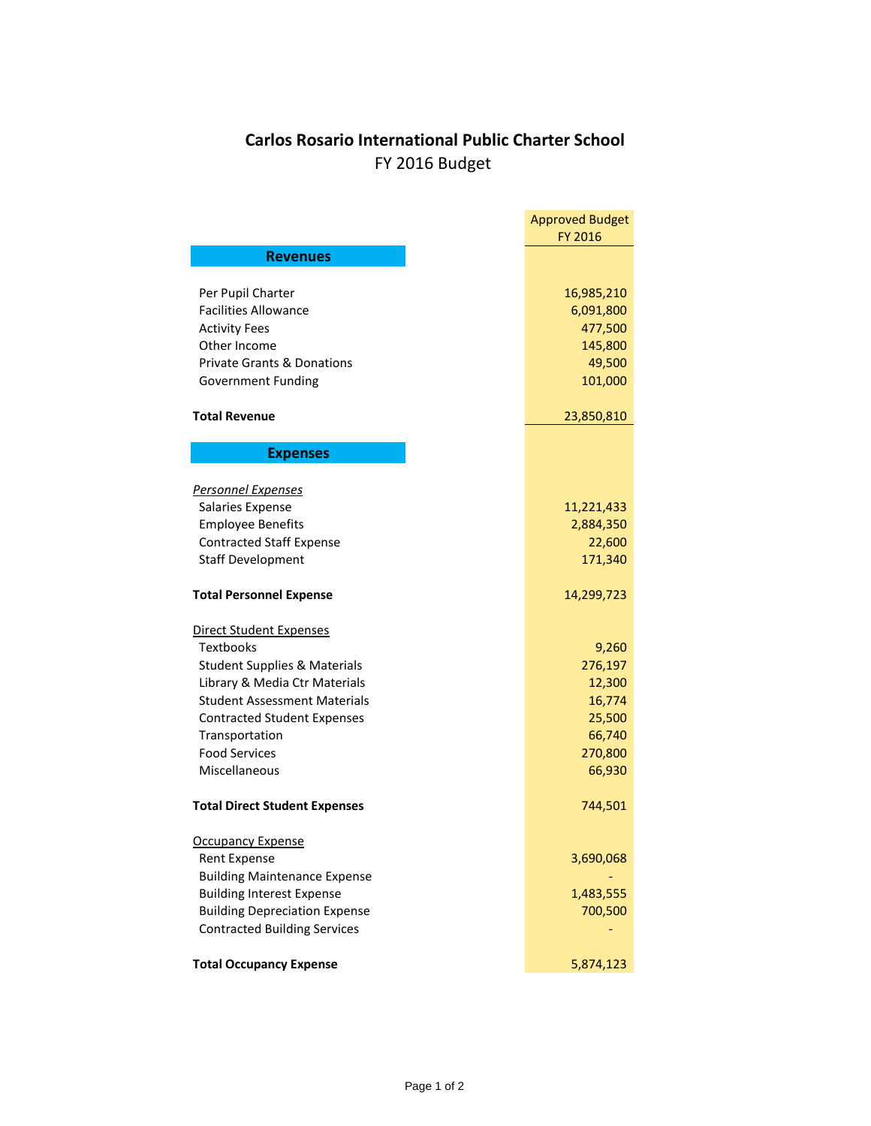## **Carlos Rosario International Public Charter School** FY 2016 Budget

|                                                  | <b>Approved Budget</b><br>FY 2016 |
|--------------------------------------------------|-----------------------------------|
| <b>Revenues</b>                                  |                                   |
|                                                  |                                   |
| Per Pupil Charter<br><b>Facilities Allowance</b> | 16,985,210                        |
| <b>Activity Fees</b>                             | 6,091,800<br>477,500              |
| Other Income                                     | 145,800                           |
| <b>Private Grants &amp; Donations</b>            | 49,500                            |
| <b>Government Funding</b>                        | 101,000                           |
|                                                  |                                   |
| <b>Total Revenue</b>                             | 23,850,810                        |
| <b>Expenses</b>                                  |                                   |
| <b>Personnel Expenses</b>                        |                                   |
| Salaries Expense                                 | 11,221,433                        |
| <b>Employee Benefits</b>                         | 2,884,350                         |
| <b>Contracted Staff Expense</b>                  | 22,600                            |
| <b>Staff Development</b>                         | 171,340                           |
| <b>Total Personnel Expense</b>                   | 14,299,723                        |
| Direct Student Expenses                          |                                   |
| <b>Textbooks</b>                                 | 9,260                             |
| <b>Student Supplies &amp; Materials</b>          | 276,197                           |
| Library & Media Ctr Materials                    | 12,300                            |
| <b>Student Assessment Materials</b>              | 16,774                            |
| <b>Contracted Student Expenses</b>               | 25,500                            |
| Transportation                                   | 66,740                            |
| <b>Food Services</b>                             | 270,800                           |
| Miscellaneous                                    | 66,930                            |
| <b>Total Direct Student Expenses</b>             | 744,501                           |
| <b>Occupancy Expense</b>                         |                                   |
| <b>Rent Expense</b>                              | 3,690,068                         |
| <b>Building Maintenance Expense</b>              |                                   |
| <b>Building Interest Expense</b>                 | 1,483,555                         |
| <b>Building Depreciation Expense</b>             | 700,500                           |
| <b>Contracted Building Services</b>              |                                   |
| <b>Total Occupancy Expense</b>                   | 5,874,123                         |